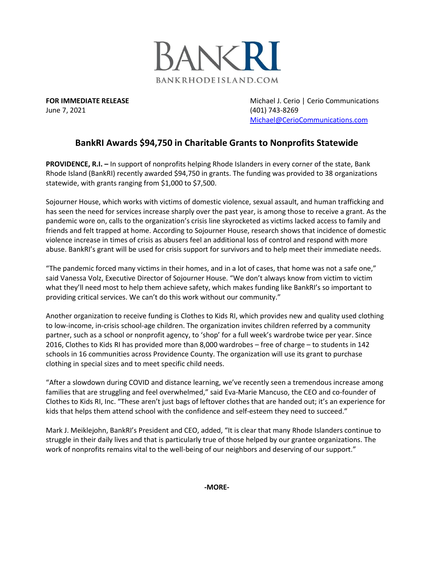

June 7, 2021 (401) 743-8269

**FOR IMMEDIATE RELEASE** Michael J. Cerio | Cerio Communications [Michael@CerioCommunications.com](mailto:Michael@CerioCommunications.com)

## **BankRI Awards \$94,750 in Charitable Grants to Nonprofits Statewide**

**PROVIDENCE, R.I. –** In support of nonprofits helping Rhode Islanders in every corner of the state, Bank Rhode Island (BankRI) recently awarded \$94,750 in grants. The funding was provided to 38 organizations statewide, with grants ranging from \$1,000 to \$7,500.

Sojourner House, which works with victims of domestic violence, sexual assault, and human trafficking and has seen the need for services increase sharply over the past year, is among those to receive a grant. As the pandemic wore on, calls to the organization's crisis line skyrocketed as victims lacked access to family and friends and felt trapped at home. According to Sojourner House, research shows that incidence of domestic violence increase in times of crisis as abusers feel an additional loss of control and respond with more abuse. BankRI's grant will be used for crisis support for survivors and to help meet their immediate needs.

"The pandemic forced many victims in their homes, and in a lot of cases, that home was not a safe one," said Vanessa Volz, Executive Director of Sojourner House. "We don't always know from victim to victim what they'll need most to help them achieve safety, which makes funding like BankRI's so important to providing critical services. We can't do this work without our community."

Another organization to receive funding is Clothes to Kids RI, which provides new and quality used clothing to low-income, in-crisis school-age children. The organization invites children referred by a community partner, such as a school or nonprofit agency, to 'shop' for a full week's wardrobe twice per year. Since 2016, Clothes to Kids RI has provided more than 8,000 wardrobes – free of charge – to students in 142 schools in 16 communities across Providence County. The organization will use its grant to purchase clothing in special sizes and to meet specific child needs.

"After a slowdown during COVID and distance learning, we've recently seen a tremendous increase among families that are struggling and feel overwhelmed," said Eva-Marie Mancuso, the CEO and co-founder of Clothes to Kids RI, Inc. "These aren't just bags of leftover clothes that are handed out; it's an experience for kids that helps them attend school with the confidence and self-esteem they need to succeed."

Mark J. Meiklejohn, BankRI's President and CEO, added, "It is clear that many Rhode Islanders continue to struggle in their daily lives and that is particularly true of those helped by our grantee organizations. The work of nonprofits remains vital to the well-being of our neighbors and deserving of our support."